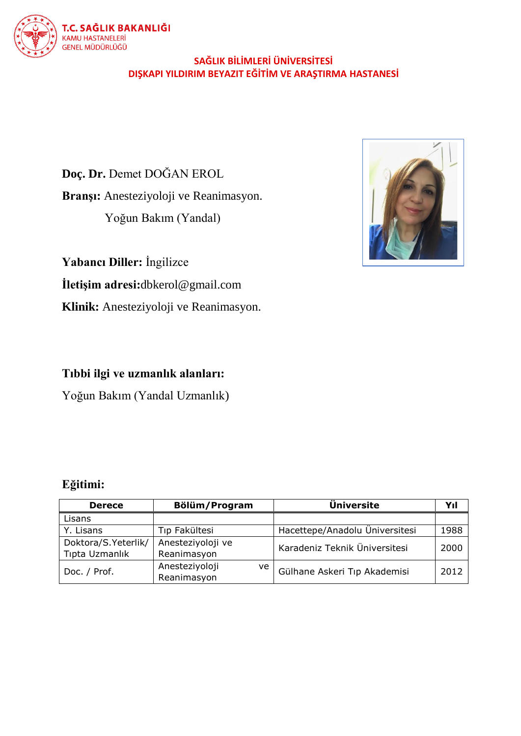# T.C. SAĞLIK BAKANLIĞI KAMU HASTANELERİ<br>GENEL MÜDÜRLÜĞÜ

# **SAĞLIK BİLİMLERİ ÜNİVERSİTESİ DIŞKAPI YILDIRIM BEYAZIT EĞİTİM VE ARAŞTIRMA HASTANESİ**

**Doç. Dr.** Demet DOĞAN EROL **Branşı:** Anesteziyoloji ve Reanimasyon. Yoğun Bakım (Yandal)

**Yabancı Diller:** İngilizce

**İletişim adresi:**dbkerol@gmail.com

**Klinik:** Anesteziyoloji ve Reanimasyon.



# **Tıbbi ilgi ve uzmanlık alanları:**

Yoğun Bakım (Yandal Uzmanlık)

# **Eğitimi:**

| <b>Derece</b>       | Bölüm/Program          | <b>Üniversite</b>              | Yıl  |
|---------------------|------------------------|--------------------------------|------|
| Lisans              |                        |                                |      |
| Y. Lisans           | Tıp Fakültesi          | Hacettepe/Anadolu Üniversitesi | 1988 |
| Doktora/S.Yeterlik/ | Anesteziyoloji ve      | Karadeniz Teknik Üniversitesi  | 2000 |
| Tipta Uzmanlık      | Reanimasyon            |                                |      |
| Doc. / Prof.        | Anesteziyoloji<br>ve I | Gülhane Askeri Tıp Akademisi   | 2012 |
|                     | Reanimasyon            |                                |      |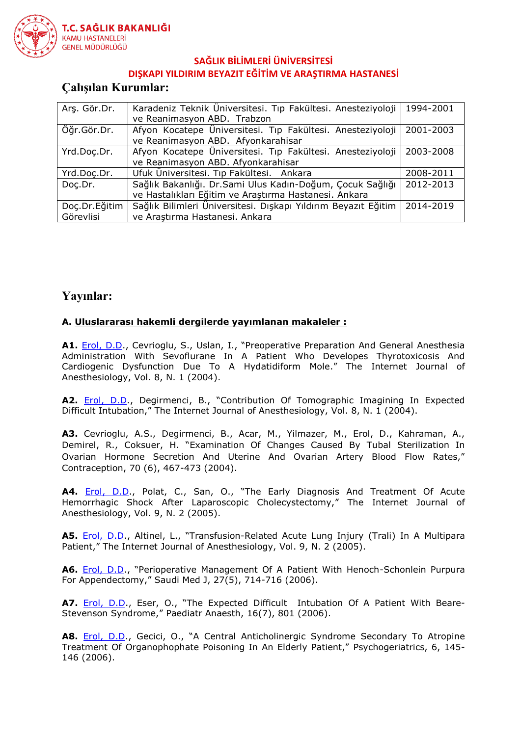

# **SAĞLIK BİLİMLERİ ÜNİVERSİTESİ**

#### **DIŞKAPI YILDIRIM BEYAZIT EĞİTİM VE ARAŞTIRMA HASTANESİ**

# **Çalışılan Kurumlar:**

| Ars. Gör.Dr.  | Karadeniz Teknik Üniversitesi. Tıp Fakültesi. Anesteziyoloji   | 1994-2001 |
|---------------|----------------------------------------------------------------|-----------|
|               | ve Reanimasyon ABD. Trabzon                                    |           |
| Öğr.Gör.Dr.   | Afyon Kocatepe Üniversitesi. Tıp Fakültesi. Anesteziyoloji     | 2001-2003 |
|               | ve Reanimasyon ABD. Afyonkarahisar                             |           |
| Yrd.Doc.Dr.   | Afyon Kocatepe Üniversitesi. Tıp Fakültesi. Anesteziyoloji     | 2003-2008 |
|               | ve Reanimasyon ABD. Afyonkarahisar                             |           |
| Yrd.Doc.Dr.   | Ufuk Üniversitesi. Tıp Fakültesi. Ankara                       | 2008-2011 |
| Doc.Dr.       | Sağlık Bakanlığı. Dr. Sami Ulus Kadın-Doğum, Çocuk Sağlığı     | 2012-2013 |
|               | ve Hastalıkları Eğitim ve Araştırma Hastanesi. Ankara          |           |
| Doc.Dr.Eğitim | Sağlık Bilimleri Üniversitesi. Dışkapı Yıldırım Beyazıt Eğitim | 2014-2019 |
| Görevlisi     | ve Araştırma Hastanesi. Ankara                                 |           |

# **Yayınlar:**

#### **A. Uluslararası hakemli dergilerde yayımlanan makaleler :**

A1. **[Erol, D.D.](http://www.ncbi.nlm.nih.gov/sites/entrez?Db=pubmed&Cmd=Search&Term=%22Erol%20DD%22%5BAuthor%5D&itool=EntrezSystem2.PEntrez.Pubmed.Pubmed_ResultsPanel.Pubmed_RVAbstractPlusDrugs1), Cevrioglu, S., Uslan, I., "Preoperative Preparation And General Anesthesia** Administration With Sevoflurane In A Patient Who Developes Thyrotoxicosis And Cardiogenic Dysfunction Due To A Hydatidiform Mole." The Internet Journal of Anesthesiology, Vol. 8, N. 1 (2004).

**A2.** [Erol, D.D.](http://www.ncbi.nlm.nih.gov/sites/entrez?Db=pubmed&Cmd=Search&Term=%22Erol%20DD%22%5BAuthor%5D&itool=EntrezSystem2.PEntrez.Pubmed.Pubmed_ResultsPanel.Pubmed_RVAbstractPlusDrugs1), Degirmenci, B., "Contribution Of Tomographic Imagining In Expected Difficult Intubation," The Internet Journal of Anesthesiology, Vol. 8, N. 1 (2004).

**A3.** Cevrioglu, A.S., Degirmenci, B., Acar, M., Yilmazer, M., Erol, D., Kahraman, A., Demirel, R., Coksuer, H. "Examination Of Changes Caused By Tubal Sterilization In Ovarian Hormone Secretion And Uterine And Ovarian Artery Blood Flow Rates," Contraception, 70 (6), 467-473 (2004).

**A4.** [Erol, D.D.](http://www.ncbi.nlm.nih.gov/sites/entrez?Db=pubmed&Cmd=Search&Term=%22Erol%20DD%22%5BAuthor%5D&itool=EntrezSystem2.PEntrez.Pubmed.Pubmed_ResultsPanel.Pubmed_RVAbstractPlusDrugs1), Polat, C., San, O., "The Early Diagnosis And Treatment Of Acute Hemorrhagic Shock After Laparoscopic Cholecystectomy," The Internet Journal of Anesthesiology, Vol. 9, N. 2 (2005).

**A5.** [Erol, D.D.](http://www.ncbi.nlm.nih.gov/sites/entrez?Db=pubmed&Cmd=Search&Term=%22Erol%20DD%22%5BAuthor%5D&itool=EntrezSystem2.PEntrez.Pubmed.Pubmed_ResultsPanel.Pubmed_RVAbstractPlusDrugs1), Altinel, L., "Transfusion-Related Acute Lung Injury (Trali) In A Multipara Patient," The Internet Journal of Anesthesiology, Vol. 9, N. 2 (2005).

A6. **[Erol, D.D](http://www.ncbi.nlm.nih.gov/sites/entrez?Db=pubmed&Cmd=Search&Term=%22Erol%20DD%22%5BAuthor%5D&itool=EntrezSystem2.PEntrez.Pubmed.Pubmed_ResultsPanel.Pubmed_RVAbstractPlusDrugs1)., "Perioperative Management Of A Patient With Henoch-Schonlein Purpura** For Appendectomy," Saudi Med J, 27(5), 714-716 (2006).

**A7.** [Erol, D.D.](http://www.ncbi.nlm.nih.gov/sites/entrez?Db=pubmed&Cmd=Search&Term=%22Erol%20DD%22%5BAuthor%5D&itool=EntrezSystem2.PEntrez.Pubmed.Pubmed_ResultsPanel.Pubmed_RVAbstractPlusDrugs1), Eser, O., "The Expected Difficult Intubation Of A Patient With Beare-Stevenson Syndrome," Paediatr Anaesth, 16(7), 801 (2006).

**A8.** [Erol, D.D.](http://www.ncbi.nlm.nih.gov/sites/entrez?Db=pubmed&Cmd=Search&Term=%22Erol%20DD%22%5BAuthor%5D&itool=EntrezSystem2.PEntrez.Pubmed.Pubmed_ResultsPanel.Pubmed_RVAbstractPlusDrugs1), Gecici, O., "A Central Anticholinergic Syndrome Secondary To Atropine Treatment Of Organophophate Poisoning In An Elderly Patient," Psychogeriatrics, 6, 145- 146 (2006).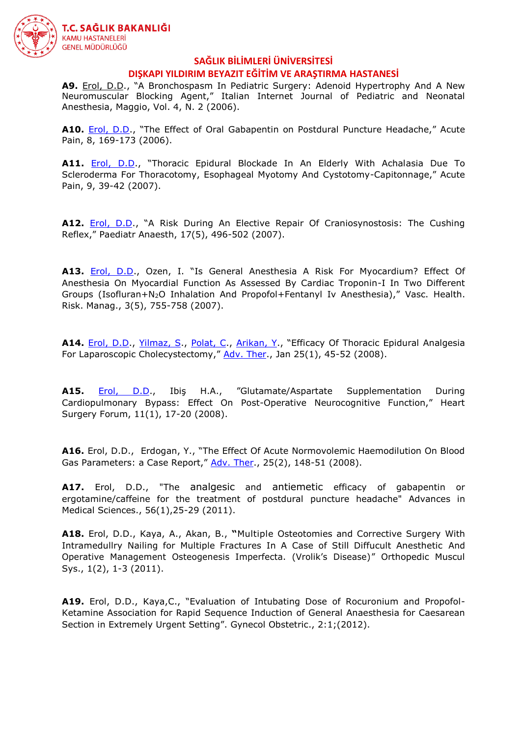

# **SAĞLIK BİLİMLERİ ÜNİVERSİTESİ**

#### **DIŞKAPI YILDIRIM BEYAZIT EĞİTİM VE ARAŞTIRMA HASTANESİ**

**A9.** [Erol, D.D.](http://www.ncbi.nlm.nih.gov/sites/entrez?Db=pubmed&Cmd=Search&Term=%22Erol%20DD%22%5BAuthor%5D&itool=EntrezSystem2.PEntrez.Pubmed.Pubmed_ResultsPanel.Pubmed_RVAbstractPlusDrugs1), "A Bronchospasm In Pediatric Surgery: Adenoid Hypertrophy And A New Neuromuscular Blocking Agent," Italian Internet Journal of Pediatric and Neonatal Anesthesia, Maggio, Vol. 4, N. 2 (2006).

**A10.** [Erol, D.D.](http://www.ncbi.nlm.nih.gov/sites/entrez?Db=pubmed&Cmd=Search&Term=%22Erol%20DD%22%5BAuthor%5D&itool=EntrezSystem2.PEntrez.Pubmed.Pubmed_ResultsPanel.Pubmed_RVAbstractPlusDrugs1), "The Effect of Oral Gabapentin on Postdural Puncture Headache," Acute Pain, 8, 169-173 (2006).

**A11.** [Erol, D.D](http://www.ncbi.nlm.nih.gov/sites/entrez?Db=pubmed&Cmd=Search&Term=%22Erol%20DD%22%5BAuthor%5D&itool=EntrezSystem2.PEntrez.Pubmed.Pubmed_ResultsPanel.Pubmed_RVAbstractPlusDrugs1)., "Thoracic Epidural Blockade In An Elderly With Achalasia Due To Scleroderma For Thoracotomy, Esophageal Myotomy And Cystotomy-Capitonnage," Acute Pain, 9, 39-42 (2007).

**A12.** [Erol, D.D](http://www.ncbi.nlm.nih.gov/sites/entrez?Db=pubmed&Cmd=Search&Term=%22Erol%20DD%22%5BAuthor%5D&itool=EntrezSystem2.PEntrez.Pubmed.Pubmed_ResultsPanel.Pubmed_RVAbstractPlusDrugs1)., "A Risk During An Elective Repair Of Craniosynostosis: The Cushing Reflex," Paediatr Anaesth, 17(5), 496-502 (2007).

**A13.** [Erol, D.D.](http://www.ncbi.nlm.nih.gov/sites/entrez?Db=pubmed&Cmd=Search&Term=%22Erol%20DD%22%5BAuthor%5D&itool=EntrezSystem2.PEntrez.Pubmed.Pubmed_ResultsPanel.Pubmed_RVAbstractPlusDrugs1), Ozen, I. "Is General Anesthesia A Risk For Myocardium? Effect Of Anesthesia On Myocardial Function As Assessed By Cardiac Troponin-I In Two Different Groups (Isofluran+N2O Inhalation And Propofol+Fentanyl Iv Anesthesia)," Vasc. Health. Risk. Manag., 3(5), 755-758 (2007).

**A14.** [Erol, D.D.](http://www.ncbi.nlm.nih.gov/sites/entrez?Db=pubmed&Cmd=Search&Term=%22Erol%20DD%22%5BAuthor%5D&itool=EntrezSystem2.PEntrez.Pubmed.Pubmed_ResultsPanel.Pubmed_RVAbstractPlusDrugs1), [Yilmaz, S.](http://www.ncbi.nlm.nih.gov/sites/entrez?Db=pubmed&Cmd=Search&Term=%22Yilmaz%20S%22%5BAuthor%5D&itool=EntrezSystem2.PEntrez.Pubmed.Pubmed_ResultsPanel.Pubmed_RVAbstractPlusDrugs1), [Polat, C.](http://www.ncbi.nlm.nih.gov/sites/entrez?Db=pubmed&Cmd=Search&Term=%22Polat%20C%22%5BAuthor%5D&itool=EntrezSystem2.PEntrez.Pubmed.Pubmed_ResultsPanel.Pubmed_RVAbstractPlusDrugs1), [Arikan, Y](http://www.ncbi.nlm.nih.gov/sites/entrez?Db=pubmed&Cmd=Search&Term=%22Arikan%20Y%22%5BAuthor%5D&itool=EntrezSystem2.PEntrez.Pubmed.Pubmed_ResultsPanel.Pubmed_RVAbstractPlusDrugs1)., "Efficacy Of Thoracic Epidural Analgesia For Laparoscopic Cholecystectomy," [Adv. Ther.](javascript:AL_get(this,%20), Jan 25(1), 45-52 (2008).

**A15.** [Erol, D.D.](http://www.ncbi.nlm.nih.gov/sites/entrez?Db=pubmed&Cmd=Search&Term=%22Erol%20DD%22%5BAuthor%5D&itool=EntrezSystem2.PEntrez.Pubmed.Pubmed_ResultsPanel.Pubmed_RVAbstractPlusDrugs1), Ibiş H.A., "Glutamate/Aspartate Supplementation During Cardiopulmonary Bypass: Effect On Post-Operative Neurocognitive Function," Heart Surgery Forum, 11(1), 17-20 (2008).

**A16.** Erol, D.D., Erdogan, Y., "The Effect Of Acute Normovolemic Haemodilution On Blood Gas Parameters: a Case Report," [Adv. Ther.](javascript:AL_get(this,%20), 25(2), 148-51 (2008).

**A17.** Erol, D.D., "The analgesic and antiemetic efficacy of gabapentin or ergotamine/caffeine for the treatment of postdural puncture headache" Advances in Medical Sciences., 56(1),25-29 (2011).

**A18.** Erol, D.D., Kaya, A., Akan, B., **"**Multiple Osteotomies and Corrective Surgery With Intramedullry Nailing for Multiple Fractures In A Case of Still Diffucult Anesthetic And Operative Management Osteogenesis Imperfecta. (Vrolik's Disease)" Orthopedic Muscul Sys., 1(2), 1-3 (2011).

**A19.** Erol, D.D., Kaya,C., "Evaluation of Intubating Dose of Rocuronium and Propofol-Ketamine Association for Rapid Sequence Induction of General Anaesthesia for Caesarean Section in Extremely Urgent Setting". Gynecol Obstetric., 2:1;(2012).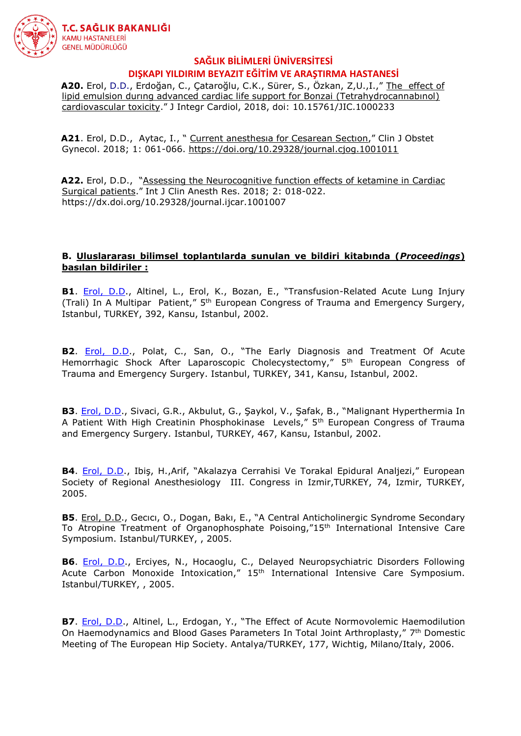

 **A20.** Erol, D.D., Erdoğan, C., Çataroğlu, C.K., Sürer, S., Özkan, Z,U.,I.," [The effect of](http://www.oatext.com/pdf/JIC-4-233.pdf)  [lipid emulsion durıng advanced cardiac life support for Bonzai \(Tetrahydrocannabınol\)](http://www.oatext.com/pdf/JIC-4-233.pdf)  [cardiovascular toxicity](http://www.oatext.com/pdf/JIC-4-233.pdf)." J Integr Cardiol, 2018, doi: 10.15761/JIC.1000233

 **A21**. Erol, D.D., Aytac, I., " [Current anesthesıa for Cesarean Sectıon,](https://www.heighpubs.org/cjog/pdf/cjog-aid1011.pdf)" Clin J Obstet Gynecol. 2018; 1: 061-066.<https://doi.org/10.29328/journal.cjog.1001011>

**A22.** Erol, D.D., "Assessing the Neurocognitive function effects of ketamine in Cardiac [Surgical patients](https://www.heighpubs.org/hacr/pdf/ijcar-aid1007.pdf)." Int J Clin Anesth Res. 2018; 2: 018-022. https://dx.doi.org/10.29328/journal.ijcar.1001007

#### **B. Uluslararası bilimsel toplantılarda sunulan ve bildiri kitabında (***Proceedings***) basılan bildiriler :**

**B1**. [Erol, D.D.](http://www.ncbi.nlm.nih.gov/sites/entrez?Db=pubmed&Cmd=Search&Term=%22Erol%20DD%22%5BAuthor%5D&itool=EntrezSystem2.PEntrez.Pubmed.Pubmed_ResultsPanel.Pubmed_RVAbstractPlusDrugs1), Altinel, L., Erol, K., Bozan, E., "Transfusion-Related Acute Lung Injury (Trali) In A Multipar Patient," 5<sup>th</sup> European Congress of Trauma and Emergency Surgery, Istanbul, TURKEY, 392, Kansu, Istanbul, 2002.

**B2**. [Erol, D.D](http://www.ncbi.nlm.nih.gov/sites/entrez?Db=pubmed&Cmd=Search&Term=%22Erol%20DD%22%5BAuthor%5D&itool=EntrezSystem2.PEntrez.Pubmed.Pubmed_ResultsPanel.Pubmed_RVAbstractPlusDrugs1)., Polat, C., San, O., "The Early Diagnosis and Treatment Of Acute Hemorrhagic Shock After Laparoscopic Cholecystectomy," 5<sup>th</sup> European Congress of Trauma and Emergency Surgery. Istanbul, TURKEY, 341, Kansu, Istanbul, 2002.

**B3**. [Erol, D.D.](http://www.ncbi.nlm.nih.gov/sites/entrez?Db=pubmed&Cmd=Search&Term=%22Erol%20DD%22%5BAuthor%5D&itool=EntrezSystem2.PEntrez.Pubmed.Pubmed_ResultsPanel.Pubmed_RVAbstractPlusDrugs1), Sivaci, G.R., Akbulut, G., Şaykol, V., Şafak, B., "Malignant Hyperthermia In A Patient With High Creatinin Phosphokinase Levels," 5th European Congress of Trauma and Emergency Surgery. Istanbul, TURKEY, 467, Kansu, Istanbul, 2002.

**B4**. [Erol, D.D](http://www.ncbi.nlm.nih.gov/sites/entrez?Db=pubmed&Cmd=Search&Term=%22Erol%20DD%22%5BAuthor%5D&itool=EntrezSystem2.PEntrez.Pubmed.Pubmed_ResultsPanel.Pubmed_RVAbstractPlusDrugs1)., Ibiş, H.,Arif, "Akalazya Cerrahisi Ve Torakal Epidural Analjezi," European Society of Regional Anesthesiology III. Congress in Izmir,TURKEY, 74, Izmir, TURKEY, 2005.

**B5**. [Erol, D.D](http://www.ncbi.nlm.nih.gov/sites/entrez?Db=pubmed&Cmd=Search&Term=%22Erol%20DD%22%5BAuthor%5D&itool=EntrezSystem2.PEntrez.Pubmed.Pubmed_ResultsPanel.Pubmed_RVAbstractPlusDrugs1)., Gecıcı, O., Dogan, Bakı, E., "A Central Anticholinergic Syndrome Secondary To Atropine Treatment of Organophosphate Poisoing, $"15<sup>th</sup>$  International Intensive Care Symposium. Istanbul/TURKEY, , 2005.

**B6**. [Erol, D.D.](http://www.ncbi.nlm.nih.gov/sites/entrez?Db=pubmed&Cmd=Search&Term=%22Erol%20DD%22%5BAuthor%5D&itool=EntrezSystem2.PEntrez.Pubmed.Pubmed_ResultsPanel.Pubmed_RVAbstractPlusDrugs1), Erciyes, N., Hocaoglu, C., Delayed Neuropsychiatric Disorders Following Acute Carbon Monoxide Intoxication," 15<sup>th</sup> International Intensive Care Symposium. Istanbul/TURKEY, , 2005.

**B7**. [Erol, D.D.](http://www.ncbi.nlm.nih.gov/sites/entrez?Db=pubmed&Cmd=Search&Term=%22Erol%20DD%22%5BAuthor%5D&itool=EntrezSystem2.PEntrez.Pubmed.Pubmed_ResultsPanel.Pubmed_RVAbstractPlusDrugs1), Altinel, L., Erdogan, Y., "The Effect of Acute Normovolemic Haemodilution On Haemodynamics and Blood Gases Parameters In Total Joint Arthroplasty," 7<sup>th</sup> Domestic Meeting of The European Hip Society. Antalya/TURKEY, 177, Wichtig, Milano/Italy, 2006.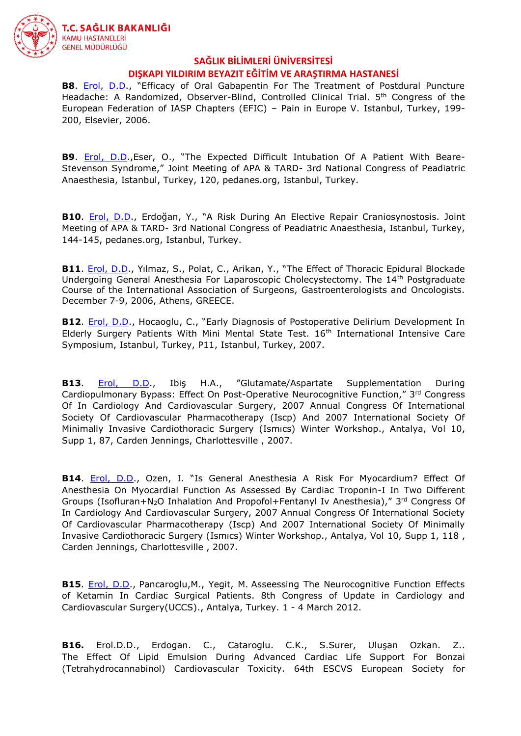

**B8**. [Erol, D.D](http://www.ncbi.nlm.nih.gov/sites/entrez?Db=pubmed&Cmd=Search&Term=%22Erol%20DD%22%5BAuthor%5D&itool=EntrezSystem2.PEntrez.Pubmed.Pubmed_ResultsPanel.Pubmed_RVAbstractPlusDrugs1)., "Efficacy of Oral Gabapentin For The Treatment of Postdural Puncture Headache: A Randomized, Observer-Blind, Controlled Clinical Trial. 5<sup>th</sup> Congress of the European Federation of IASP Chapters (EFIC) – Pain in Europe V. Istanbul, Turkey, 199- 200, Elsevier, 2006.

**B9**. [Erol, D.D](http://www.ncbi.nlm.nih.gov/sites/entrez?Db=pubmed&Cmd=Search&Term=%22Erol%20DD%22%5BAuthor%5D&itool=EntrezSystem2.PEntrez.Pubmed.Pubmed_ResultsPanel.Pubmed_RVAbstractPlusDrugs1).,Eser, O., "The Expected Difficult Intubation Of A Patient With Beare-Stevenson Syndrome," Joint Meeting of APA & TARD- 3rd National Congress of Peadiatric Anaesthesia, Istanbul, Turkey, 120, pedanes.org, Istanbul, Turkey.

**B10**. [Erol, D.D.](http://www.ncbi.nlm.nih.gov/sites/entrez?Db=pubmed&Cmd=Search&Term=%22Erol%20DD%22%5BAuthor%5D&itool=EntrezSystem2.PEntrez.Pubmed.Pubmed_ResultsPanel.Pubmed_RVAbstractPlusDrugs1), Erdoğan, Y., "A Risk During An Elective Repair Craniosynostosis. Joint Meeting of APA & TARD- 3rd National Congress of Peadiatric Anaesthesia, Istanbul, Turkey, 144-145, pedanes.org, Istanbul, Turkey.

**B11**. [Erol, D.D.](http://www.ncbi.nlm.nih.gov/sites/entrez?Db=pubmed&Cmd=Search&Term=%22Erol%20DD%22%5BAuthor%5D&itool=EntrezSystem2.PEntrez.Pubmed.Pubmed_ResultsPanel.Pubmed_RVAbstractPlusDrugs1), Yılmaz, S., Polat, C., Arikan, Y., "The Effect of Thoracic Epidural Blockade Undergoing General Anesthesia For Laparoscopic Cholecystectomy. The 14<sup>th</sup> Postgraduate Course of the International Association of Surgeons, Gastroenterologists and Oncologists. December 7-9, 2006, Athens, GREECE.

**B12**. [Erol, D.D](http://www.ncbi.nlm.nih.gov/sites/entrez?Db=pubmed&Cmd=Search&Term=%22Erol%20DD%22%5BAuthor%5D&itool=EntrezSystem2.PEntrez.Pubmed.Pubmed_ResultsPanel.Pubmed_RVAbstractPlusDrugs1)., Hocaoglu, C., "Early Diagnosis of Postoperative Delirium Development In Elderly Surgery Patients With Mini Mental State Test. 16<sup>th</sup> International Intensive Care Symposium, Istanbul, Turkey, P11, Istanbul, Turkey, 2007.

**B13**. [Erol, D.D.](http://www.ncbi.nlm.nih.gov/sites/entrez?Db=pubmed&Cmd=Search&Term=%22Erol%20DD%22%5BAuthor%5D&itool=EntrezSystem2.PEntrez.Pubmed.Pubmed_ResultsPanel.Pubmed_RVAbstractPlusDrugs1), Ibiş H.A., "Glutamate/Aspartate Supplementation During Cardiopulmonary Bypass: Effect On Post-Operative Neurocognitive Function," 3rd Congress Of In Cardiology And Cardiovascular Surgery, 2007 Annual Congress Of International Society Of Cardiovascular Pharmacotherapy (Iscp) And 2007 International Society Of Minimally Invasive Cardiothoracic Surgery (Ismıcs) Winter Workshop., Antalya, Vol 10, Supp 1, 87, Carden Jennings, Charlottesville , 2007.

**B14**. [Erol, D.D.](http://www.ncbi.nlm.nih.gov/sites/entrez?Db=pubmed&Cmd=Search&Term=%22Erol%20DD%22%5BAuthor%5D&itool=EntrezSystem2.PEntrez.Pubmed.Pubmed_ResultsPanel.Pubmed_RVAbstractPlusDrugs1), Ozen, I. "Is General Anesthesia A Risk For Myocardium? Effect Of Anesthesia On Myocardial Function As Assessed By Cardiac Troponin-I In Two Different Groups (Isofluran+N<sub>2</sub>O Inhalation And Propofol+Fentanyl Iv Anesthesia)," 3<sup>rd</sup> Congress Of In Cardiology And Cardiovascular Surgery, 2007 Annual Congress Of International Society Of Cardiovascular Pharmacotherapy (Iscp) And 2007 International Society Of Minimally Invasive Cardiothoracic Surgery (Ismıcs) Winter Workshop., Antalya, Vol 10, Supp 1, 118 , Carden Jennings, Charlottesville , 2007.

**B15**. [Erol, D.D.](http://www.ncbi.nlm.nih.gov/sites/entrez?Db=pubmed&Cmd=Search&Term=%22Erol%20DD%22%5BAuthor%5D&itool=EntrezSystem2.PEntrez.Pubmed.Pubmed_ResultsPanel.Pubmed_RVAbstractPlusDrugs1), Pancaroglu,M., Yegit, M. Asseessing The Neurocognitive Function Effects of Ketamin In Cardiac Surgical Patients. 8th Congress of Update in Cardiology and Cardiovascular Surgery(UCCS)., Antalya, Turkey. 1 - 4 March 2012.

**B16.** Erol.D.D., Erdogan. C., Cataroglu. C.K., S.Surer, Uluşan Ozkan. Z.. The Effect Of Lipid Emulsion During Advanced Cardiac Life Support For Bonzai (Tetrahydrocannabinol) Cardiovascular Toxicity. 64th ESCVS European Society for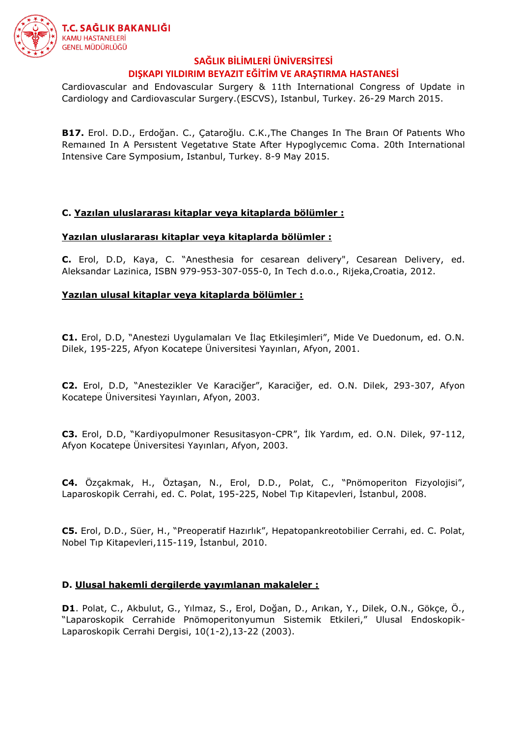

Cardiovascular and Endovascular Surgery & 11th International Congress of Update in Cardiology and Cardiovascular Surgery.(ESCVS), Istanbul, Turkey. 26-29 March 2015.

**B17.** Erol. D.D., Erdoğan. C., Çataroğlu. C.K.,The Changes In The Braın Of Patıents Who Remaıned In A Persıstent Vegetatıve State After Hypoglycemıc Coma. 20th International Intensive Care Symposium, Istanbul, Turkey. 8-9 May 2015.

#### **C. Yazılan uluslararası kitaplar veya kitaplarda bölümler :**

#### **Yazılan uluslararası kitaplar veya kitaplarda bölümler :**

**C.** Erol, D.D, Kaya, C. "Anesthesia for cesarean delivery", Cesarean Delivery, ed. Aleksandar Lazinica, ISBN 979-953-307-055-0, In Tech d.o.o., Rijeka,Croatia, 2012.

#### **Yazılan ulusal kitaplar veya kitaplarda bölümler :**

**C1.** Erol, D.D, "Anestezi Uygulamaları Ve İlaç Etkileşimleri", Mide Ve Duedonum, ed. O.N. Dilek, 195-225, Afyon Kocatepe Üniversitesi Yayınları, Afyon, 2001.

**C2.** Erol, D.D, "Anestezikler Ve Karaciğer", Karaciğer, ed. O.N. Dilek, 293-307, Afyon Kocatepe Üniversitesi Yayınları, Afyon, 2003.

**C3.** Erol, D.D, "Kardiyopulmoner Resusitasyon-CPR", İlk Yardım, ed. O.N. Dilek, 97-112, Afyon Kocatepe Üniversitesi Yayınları, Afyon, 2003.

**C4.** Özçakmak, H., Öztaşan, N., Erol, D.D., Polat, C., "Pnömoperiton Fizyolojisi", Laparoskopik Cerrahi, ed. C. Polat, 195-225, Nobel Tıp Kitapevleri, İstanbul, 2008.

**C5.** Erol, D.D., Süer, H., "Preoperatif Hazırlık", Hepatopankreotobilier Cerrahi, ed. C. Polat, Nobel Tıp Kitapevleri,115-119, İstanbul, 2010.

#### **D. Ulusal hakemli dergilerde yayımlanan makaleler :**

**D1**. Polat, C., Akbulut, G., Yılmaz, S., Erol, Doğan, D., Arıkan, Y., Dilek, O.N., Gökçe, Ö., "Laparoskopik Cerrahide Pnömoperitonyumun Sistemik Etkileri," Ulusal Endoskopik-Laparoskopik Cerrahi Dergisi, 10(1-2),13-22 (2003).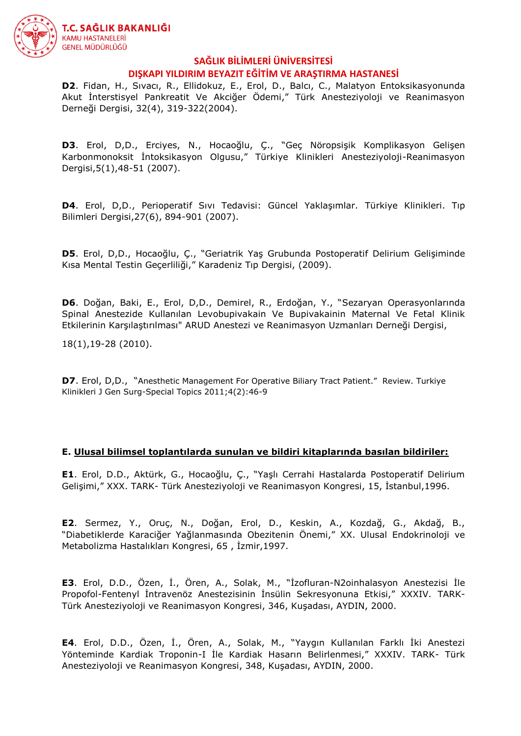

**D2**. Fidan, H., Sıvacı, R., Ellidokuz, E., Erol, D., Balcı, C., Malatyon Entoksikasyonunda Akut İnterstisyel Pankreatit Ve Akciğer Ödemi," Türk Anesteziyoloji ve Reanimasyon Derneği Dergisi, 32(4), 319-322(2004).

**D3**. Erol, D,D., Erciyes, N., Hocaoğlu, Ç., "Geç Nöropsişik Komplikasyon Gelişen Karbonmonoksit İntoksikasyon Olgusu," Türkiye Klinikleri Anesteziyoloji-Reanimasyon Dergisi,5(1),48-51 (2007).

**D4**. Erol, D,D., Perioperatif Sıvı Tedavisi: Güncel Yaklaşımlar. Türkiye Klinikleri. Tıp Bilimleri Dergisi,27(6), 894-901 (2007).

**D5**. Erol, D,D., Hocaoğlu, Ç., "Geriatrik Yaş Grubunda Postoperatif Delirium Gelişiminde Kısa Mental Testin Geçerliliği," Karadeniz Tıp Dergisi, (2009).

**D6**. Doğan, Baki, E., Erol, D,D., Demirel, R., Erdoğan, Y., "Sezaryan Operasyonlarında Spinal Anestezide Kullanılan Levobupivakain Ve Bupivakainin Maternal Ve Fetal Klinik Etkilerinin Karşılaştırılması" ARUD Anestezi ve Reanimasyon Uzmanları Derneği Dergisi,

18(1),19-28 (2010).

**D7**. Erol, D,D., "Anesthetic Management For Operative Biliary Tract Patient." Review. Turkiye Klinikleri J Gen Surg-Special Topics 2011;4(2):46-9

#### **E. Ulusal bilimsel toplantılarda sunulan ve bildiri kitaplarında basılan bildiriler:**

**E1**. Erol, D.D., Aktürk, G., Hocaoğlu, Ç., "Yaşlı Cerrahi Hastalarda Postoperatif Delirium Gelişimi," XXX. TARK- Türk Anesteziyoloji ve Reanimasyon Kongresi, 15, İstanbul,1996.

**E2**. Sermez, Y., Oruç, N., Doğan, Erol, D., Keskin, A., Kozdağ, G., Akdağ, B., "Diabetiklerde Karaciğer Yağlanmasında Obezitenin Önemi," XX. Ulusal Endokrinoloji ve Metabolizma Hastalıkları Kongresi, 65 , İzmir,1997.

**E3**. Erol, D.D., Özen, İ., Ören, A., Solak, M., "İzofluran-N2oinhalasyon Anestezisi İle Propofol-Fentenyl İntravenöz Anestezisinin İnsülin Sekresyonuna Etkisi," XXXIV. TARK-Türk Anesteziyoloji ve Reanimasyon Kongresi, 346, Kuşadası, AYDIN, 2000.

**E4**. Erol, D.D., Özen, İ., Ören, A., Solak, M., "Yaygın Kullanılan Farklı İki Anestezi Yönteminde Kardiak Troponin-I İle Kardiak Hasarın Belirlenmesi," XXXIV. TARK- Türk Anesteziyoloji ve Reanimasyon Kongresi, 348, Kuşadası, AYDIN, 2000.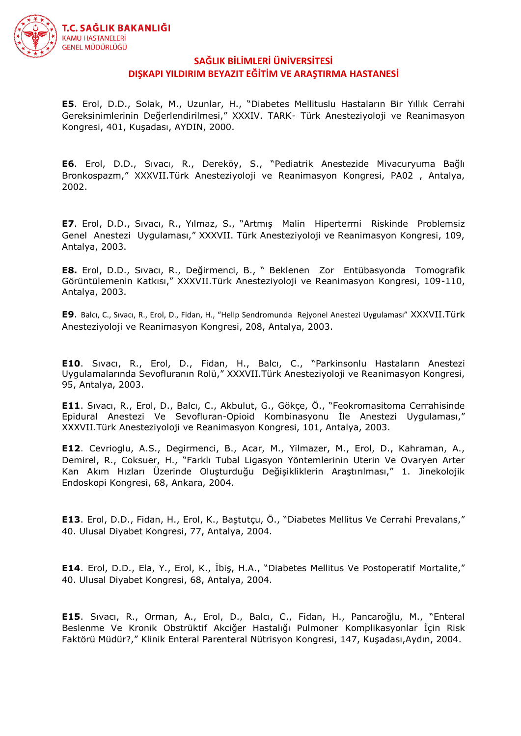

**E5**. Erol, D.D., Solak, M., Uzunlar, H., "Diabetes Mellituslu Hastaların Bir Yıllık Cerrahi Gereksinimlerinin Değerlendirilmesi," XXXIV. TARK- Türk Anesteziyoloji ve Reanimasyon Kongresi, 401, Kuşadası, AYDIN, 2000.

**E6**. Erol, D.D., Sıvacı, R., Dereköy, S., "Pediatrik Anestezide Mivacuryuma Bağlı Bronkospazm," XXXVII.Türk Anesteziyoloji ve Reanimasyon Kongresi, PA02 , Antalya, 2002.

**E7**. Erol, D.D., Sıvacı, R., Yılmaz, S., "Artmış Malin Hipertermi Riskinde Problemsiz Genel Anestezi Uygulaması," XXXVII. Türk Anesteziyoloji ve Reanimasyon Kongresi, 109, Antalya, 2003.

**E8.** Erol, D.D., Sıvacı, R., Değirmenci, B., " Beklenen Zor Entübasyonda Tomografik Görüntülemenin Katkısı," XXXVII.Türk Anesteziyoloji ve Reanimasyon Kongresi, 109-110, Antalya, 2003.

**E9**. Balcı, C., Sıvacı, R., Erol, D., Fidan, H., "Hellp Sendromunda Rejyonel Anestezi Uygulaması" XXXVII.Türk Anesteziyoloji ve Reanimasyon Kongresi, 208, Antalya, 2003.

**E10**. Sıvacı, R., Erol, D., Fidan, H., Balcı, C., "Parkinsonlu Hastaların Anestezi Uygulamalarında Sevofluranın Rolü," XXXVII.Türk Anesteziyoloji ve Reanimasyon Kongresi, 95, Antalya, 2003.

**E11**. Sıvacı, R., Erol, D., Balcı, C., Akbulut, G., Gökçe, Ö., "Feokromasitoma Cerrahisinde Epidural Anestezi Ve Sevofluran-Opioid Kombinasyonu İle Anestezi Uygulaması," XXXVII.Türk Anesteziyoloji ve Reanimasyon Kongresi, 101, Antalya, 2003.

**E12**. Cevrioglu, A.S., Degirmenci, B., Acar, M., Yilmazer, M., Erol, D., Kahraman, A., Demirel, R., Coksuer, H., "Farklı Tubal Ligasyon Yöntemlerinin Uterin Ve Ovaryen Arter Kan Akım Hızları Üzerinde Oluşturduğu Değişikliklerin Araştırılması," 1. Jinekolojik Endoskopi Kongresi, 68, Ankara, 2004.

**E13**. Erol, D.D., Fidan, H., Erol, K., Baştutçu, Ö., "Diabetes Mellitus Ve Cerrahi Prevalans," 40. Ulusal Diyabet Kongresi, 77, Antalya, 2004.

**E14**. Erol, D.D., Ela, Y., Erol, K., İbiş, H.A., "Diabetes Mellitus Ve Postoperatif Mortalite," 40. Ulusal Diyabet Kongresi, 68, Antalya, 2004.

**E15**. Sıvacı, R., Orman, A., Erol, D., Balcı, C., Fidan, H., Pancaroğlu, M., "Enteral Beslenme Ve Kronik Obstrüktif Akciğer Hastalığı Pulmoner Komplikasyonlar İçin Risk Faktörü Müdür?," Klinik Enteral Parenteral Nütrisyon Kongresi, 147, Kuşadası,Aydın, 2004.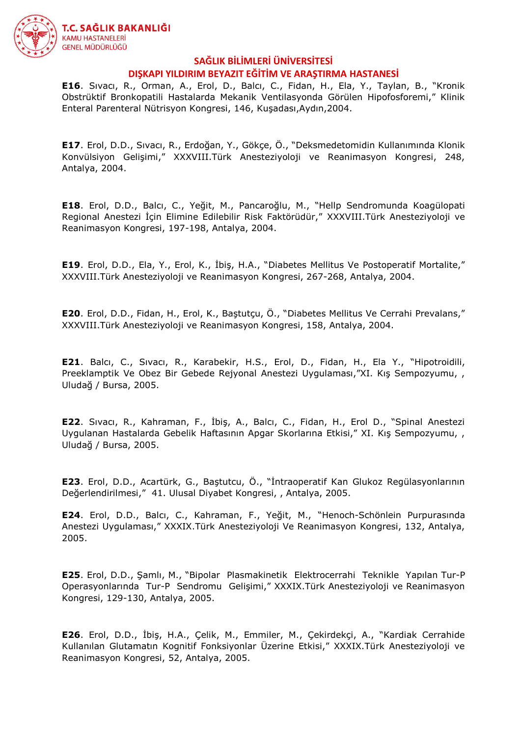

**E16**. Sıvacı, R., Orman, A., Erol, D., Balcı, C., Fidan, H., Ela, Y., Taylan, B., "Kronik Obstrüktif Bronkopatili Hastalarda Mekanik Ventilasyonda Görülen Hipofosforemi," Klinik Enteral Parenteral Nütrisyon Kongresi, 146, Kuşadası,Aydın,2004.

**E17**. Erol, D.D., Sıvacı, R., Erdoğan, Y., Gökçe, Ö., "Deksmedetomidin Kullanımında Klonik Konvülsiyon Gelişimi," XXXVIII.Türk Anesteziyoloji ve Reanimasyon Kongresi, 248, Antalya, 2004.

**E18**. Erol, D.D., Balcı, C., Yeğit, M., Pancaroğlu, M., "Hellp Sendromunda Koagülopati Regional Anestezi İçin Elimine Edilebilir Risk Faktörüdür," XXXVIII.Türk Anesteziyoloji ve Reanimasyon Kongresi, 197-198, Antalya, 2004.

**E19**. Erol, D.D., Ela, Y., Erol, K., İbiş, H.A., "Diabetes Mellitus Ve Postoperatif Mortalite," XXXVIII.Türk Anesteziyoloji ve Reanimasyon Kongresi, 267-268, Antalya, 2004.

**E20**. Erol, D.D., Fidan, H., Erol, K., Baştutçu, Ö., "Diabetes Mellitus Ve Cerrahi Prevalans," XXXVIII.Türk Anesteziyoloji ve Reanimasyon Kongresi, 158, Antalya, 2004.

**E21**. Balcı, C., Sıvacı, R., Karabekir, H.S., Erol, D., Fidan, H., Ela Y., "Hipotroidili, Preeklamptik Ve Obez Bir Gebede Rejyonal Anestezi Uygulaması,"XI. Kış Sempozyumu, , Uludağ / Bursa, 2005.

**E22**. Sıvacı, R., Kahraman, F., İbiş, A., Balcı, C., Fidan, H., Erol D., "Spinal Anestezi Uygulanan Hastalarda Gebelik Haftasının Apgar Skorlarına Etkisi," XI. Kış Sempozyumu, , Uludağ / Bursa, 2005.

**E23**. Erol, D.D., Acartürk, G., Baştutcu, Ö., "İntraoperatif Kan Glukoz Regülasyonlarının Değerlendirilmesi," 41. Ulusal Diyabet Kongresi, , Antalya, 2005.

**E24**. Erol, D.D., Balcı, C., Kahraman, F., Yeğit, M., "Henoch-Schönlein Purpurasında Anestezi Uygulaması," XXXIX.Türk Anesteziyoloji Ve Reanimasyon Kongresi, 132, Antalya, 2005.

**E25**. Erol, D.D., Şamlı, M., "Bipolar Plasmakinetik Elektrocerrahi Teknikle Yapılan Tur-P Operasyonlarında Tur-P Sendromu Gelişimi," XXXIX.Türk Anesteziyoloji ve Reanimasyon Kongresi, 129-130, Antalya, 2005.

**E26**. Erol, D.D., İbiş, H.A., Çelik, M., Emmiler, M., Çekirdekçi, A., "Kardiak Cerrahide Kullanılan Glutamatın Kognitif Fonksiyonlar Üzerine Etkisi," XXXIX.Türk Anesteziyoloji ve Reanimasyon Kongresi, 52, Antalya, 2005.